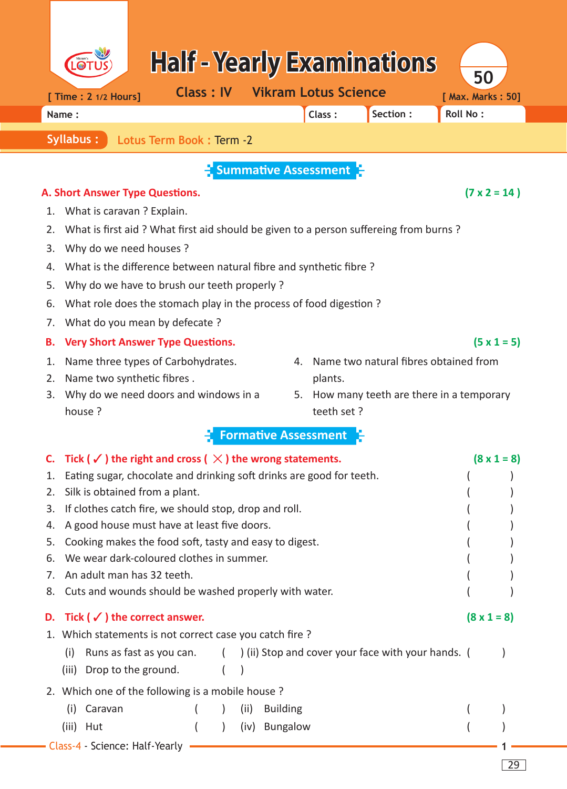|                                              |                                                                                                                                                             |                  |              |                                    |         | <b>Half - Yearly Examinations</b>                  |                 | 50                  |                    |  |  |
|----------------------------------------------|-------------------------------------------------------------------------------------------------------------------------------------------------------------|------------------|--------------|------------------------------------|---------|----------------------------------------------------|-----------------|---------------------|--------------------|--|--|
| [ Time : 2 1/2 Hours]                        |                                                                                                                                                             | <b>Class: IV</b> |              | <b>Vikram Lotus Science</b>        |         |                                                    |                 | [ Max. Marks: 50]   |                    |  |  |
| Name:                                        |                                                                                                                                                             |                  |              |                                    | Class:  | Section:                                           | <b>Roll No:</b> |                     |                    |  |  |
| <b>Syllabus:</b><br>Lotus Term Book: Term -2 |                                                                                                                                                             |                  |              |                                    |         |                                                    |                 |                     |                    |  |  |
| $\Gamma$ Summative Assessment $\Gamma$       |                                                                                                                                                             |                  |              |                                    |         |                                                    |                 |                     |                    |  |  |
|                                              | A. Short Answer Type Questions.                                                                                                                             |                  |              |                                    |         |                                                    |                 | $(7 \times 2 = 14)$ |                    |  |  |
| 1.                                           | What is caravan? Explain.                                                                                                                                   |                  |              |                                    |         |                                                    |                 |                     |                    |  |  |
| 2.                                           | What is first aid ? What first aid should be given to a person suffereing from burns ?                                                                      |                  |              |                                    |         |                                                    |                 |                     |                    |  |  |
| 3.                                           | Why do we need houses?                                                                                                                                      |                  |              |                                    |         |                                                    |                 |                     |                    |  |  |
| 4.                                           | What is the difference between natural fibre and synthetic fibre?                                                                                           |                  |              |                                    |         |                                                    |                 |                     |                    |  |  |
| 5.                                           | Why do we have to brush our teeth properly ?                                                                                                                |                  |              |                                    |         |                                                    |                 |                     |                    |  |  |
| 6.                                           | What role does the stomach play in the process of food digestion?                                                                                           |                  |              |                                    |         |                                                    |                 |                     |                    |  |  |
| 7.                                           | What do you mean by defecate?                                                                                                                               |                  |              |                                    |         |                                                    |                 |                     |                    |  |  |
| В.                                           | <b>Very Short Answer Type Questions.</b>                                                                                                                    |                  |              |                                    |         |                                                    |                 |                     | $(5 \times 1 = 5)$ |  |  |
| 1.                                           | Name three types of Carbohydrates.                                                                                                                          |                  |              | 4.                                 |         | Name two natural fibres obtained from              |                 |                     |                    |  |  |
| 2.                                           | Name two synthetic fibres.                                                                                                                                  |                  |              |                                    | plants. |                                                    |                 |                     |                    |  |  |
| 3.<br>house ?                                | Why do we need doors and windows in a<br>How many teeth are there in a temporary<br>5.<br>teeth set?                                                        |                  |              |                                    |         |                                                    |                 |                     |                    |  |  |
|                                              |                                                                                                                                                             |                  |              |                                    |         |                                                    |                 |                     |                    |  |  |
|                                              |                                                                                                                                                             |                  |              | <b>Formative Assessment</b>        |         |                                                    |                 |                     |                    |  |  |
|                                              | C. Tick ( $\checkmark$ ) the right and cross ( $\checkmark$ ) the wrong statements.<br>Eating sugar, chocolate and drinking soft drinks are good for teeth. |                  |              |                                    |         |                                                    |                 | $(8 \times 1 = 8)$  |                    |  |  |
| 1.<br>2.                                     | Silk is obtained from a plant.                                                                                                                              |                  |              |                                    |         |                                                    |                 |                     |                    |  |  |
| 3.                                           | If clothes catch fire, we should stop, drop and roll.                                                                                                       |                  |              |                                    |         |                                                    |                 |                     |                    |  |  |
| 4.                                           | A good house must have at least five doors.                                                                                                                 |                  |              |                                    |         |                                                    |                 |                     |                    |  |  |
| 5.                                           | Cooking makes the food soft, tasty and easy to digest.                                                                                                      |                  |              |                                    |         |                                                    |                 |                     |                    |  |  |
| 6.                                           | We wear dark-coloured clothes in summer.                                                                                                                    |                  |              |                                    |         |                                                    |                 |                     |                    |  |  |
| 7.                                           | An adult man has 32 teeth.<br>Cuts and wounds should be washed properly with water.                                                                         |                  |              |                                    |         |                                                    |                 |                     |                    |  |  |
| 8.                                           |                                                                                                                                                             |                  |              |                                    |         |                                                    |                 |                     |                    |  |  |
| D.                                           | Tick ( $\checkmark$ ) the correct answer.                                                                                                                   |                  |              |                                    |         |                                                    |                 | $(8 \times 1 = 8)$  |                    |  |  |
|                                              | 1. Which statements is not correct case you catch fire?                                                                                                     |                  |              |                                    |         |                                                    |                 |                     |                    |  |  |
| (i)                                          | Runs as fast as you can.                                                                                                                                    | $\left($         |              |                                    |         | ) (ii) Stop and cover your face with your hands. ( |                 |                     |                    |  |  |
| (iii)                                        | Drop to the ground.                                                                                                                                         |                  |              |                                    |         |                                                    |                 |                     |                    |  |  |
|                                              | 2. Which one of the following is a mobile house?                                                                                                            |                  |              |                                    |         |                                                    |                 |                     |                    |  |  |
| (i)<br>(iii)<br>Hut                          | Caravan                                                                                                                                                     |                  | (ii)<br>(iv) | <b>Building</b><br><b>Bungalow</b> |         |                                                    |                 |                     |                    |  |  |
|                                              | - Class-4 - Science: Half-Yearly                                                                                                                            |                  |              |                                    |         |                                                    |                 |                     |                    |  |  |